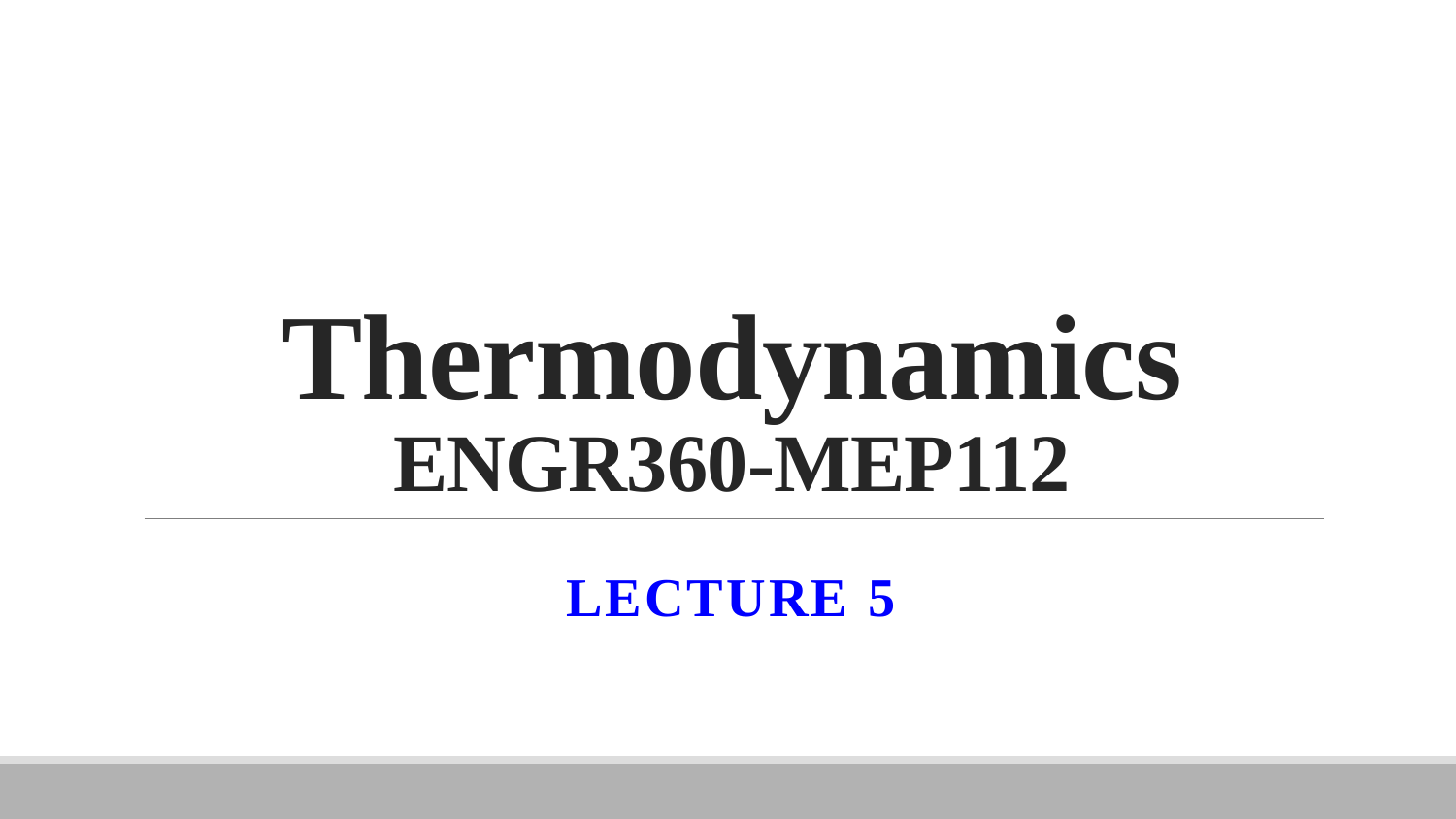# **Thermodynamics ENGR360-MEP112**

**LECTURE 5**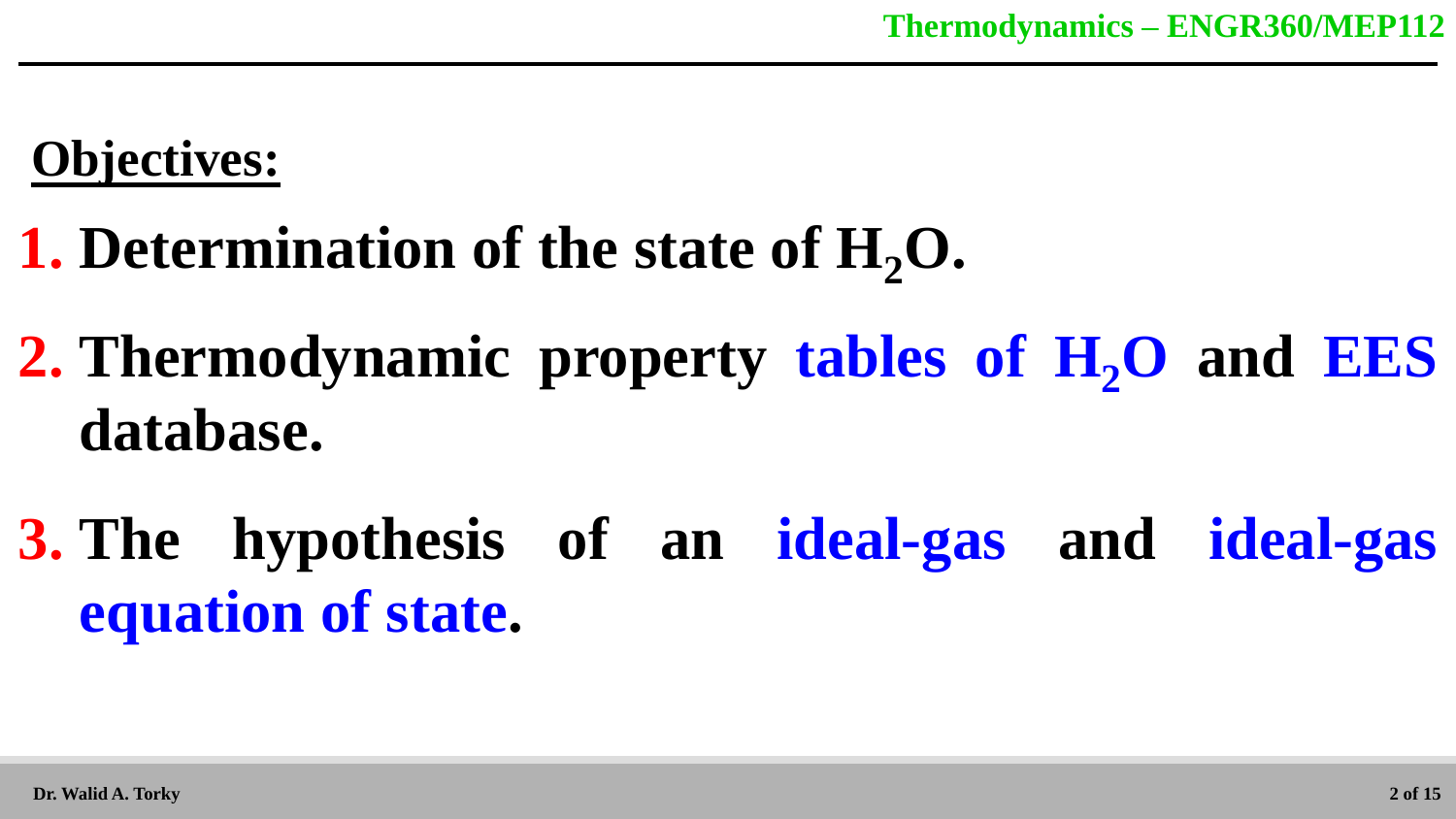# **Objectives:**

# **1. Determination of the state of H2O.**

- **2. Thermodynamic property tables of H<sub>2</sub>O and EES database.**
- **3. The hypothesis of an ideal-gas and ideal-gas equation of state.**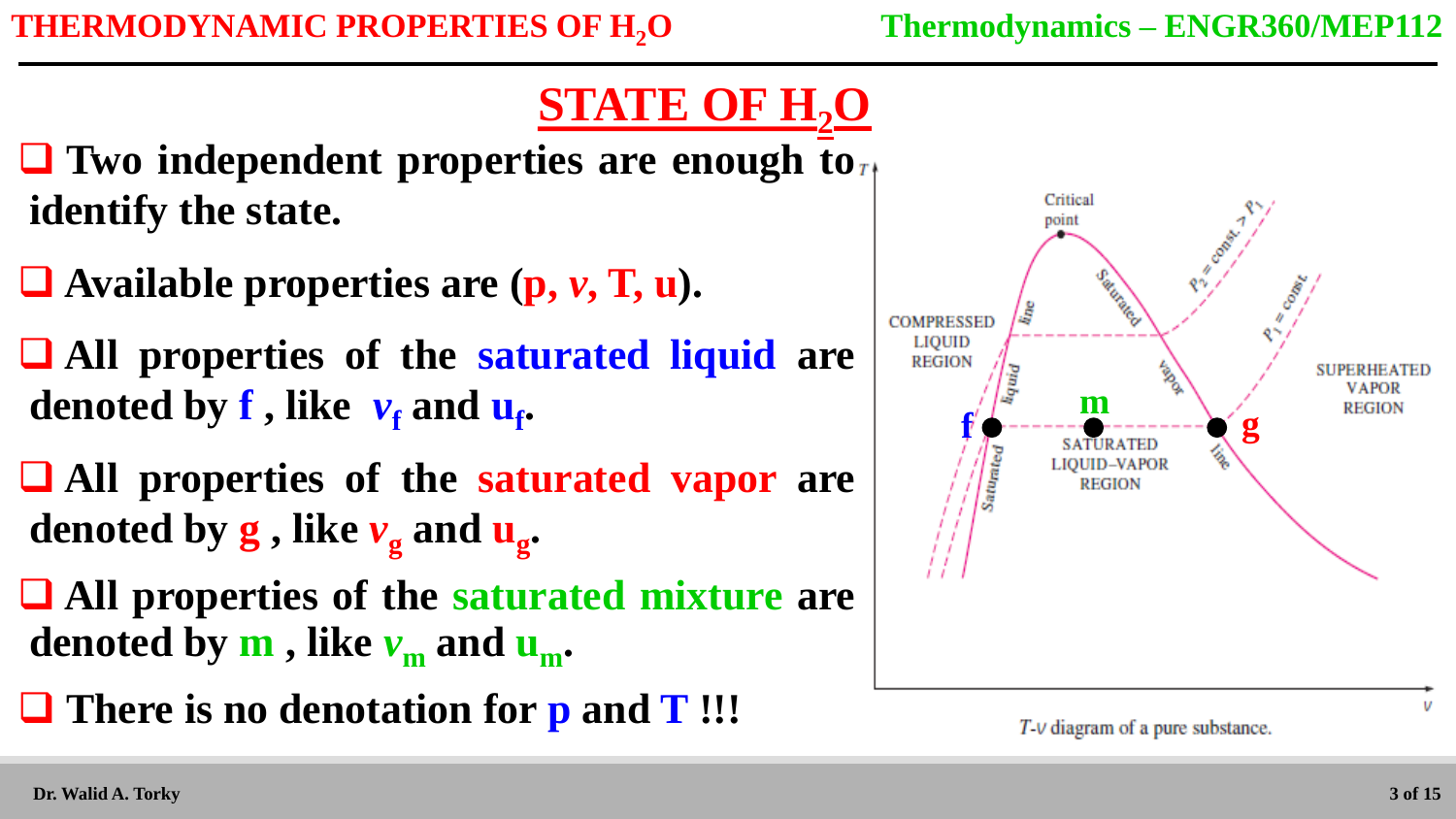# **STATE OF H2O**

 $\Box$  Two independent properties are enough to  $\Box$ **identify the state.**

- **Available properties are (p,** *v***, T, u).**
- **All properties of the saturated liquid are**  denoted by **f** , like  $v_{\text{f}}$  and  $u_{\text{f}}$ .
- **All properties of the saturated vapor are denoted by g , like** *v***<sup>g</sup> and u<sup>g</sup> .**
- **All properties of the saturated mixture are denoted by m**, like  $v_m$  and  $u_m$ .
- **There is no denotation for p and T !!!**

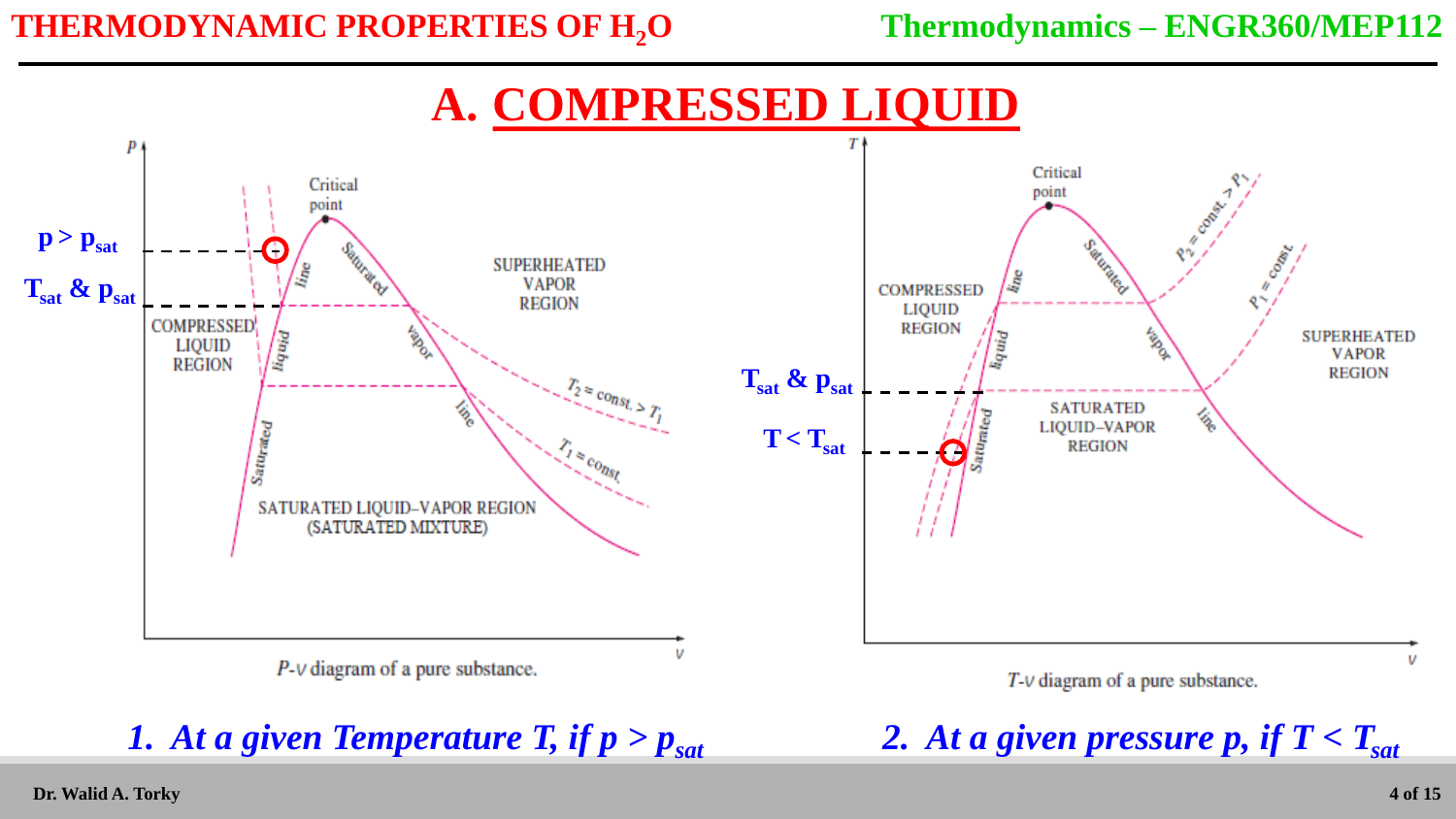# **A. COMPRESSED LIQUID**

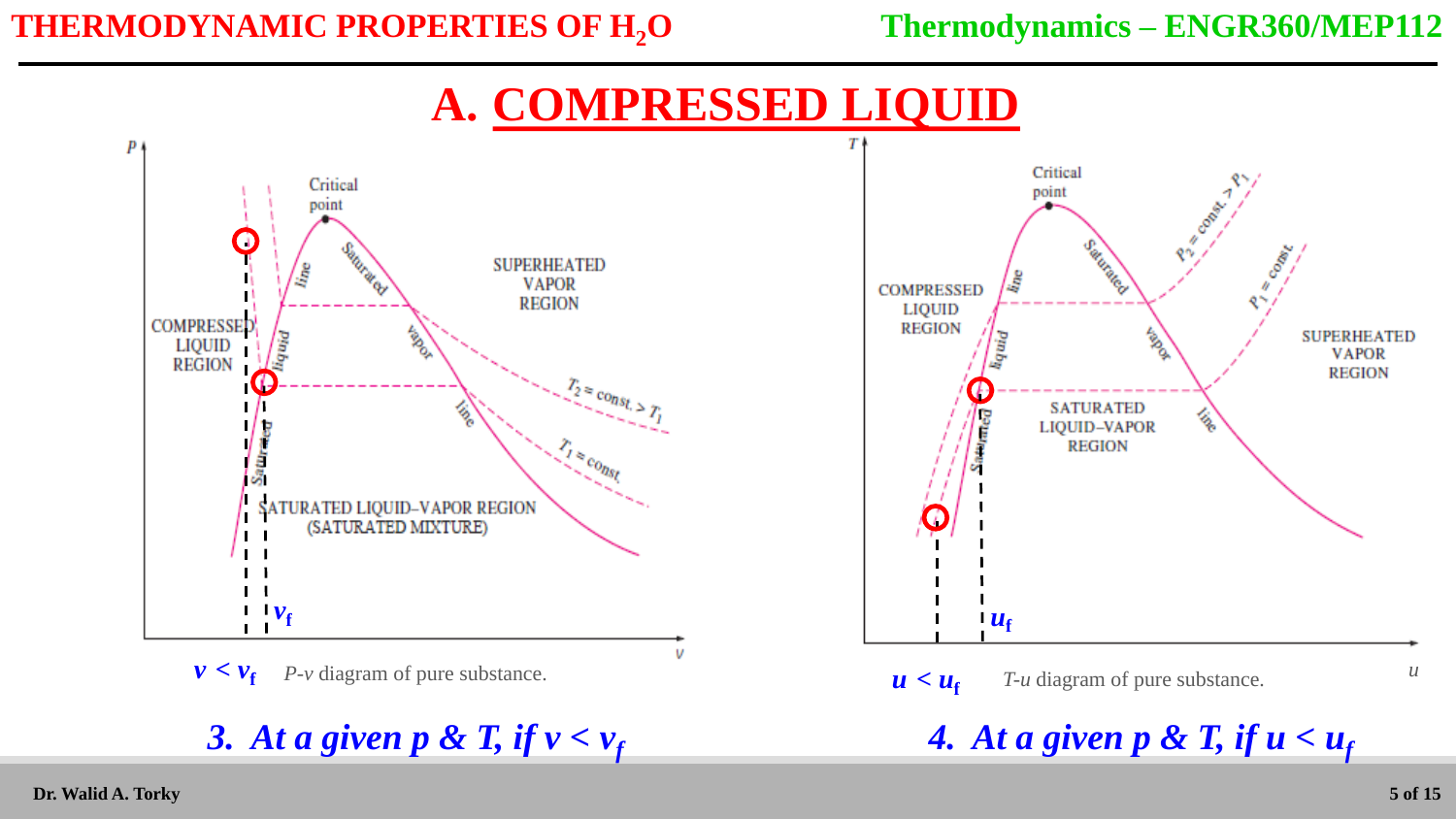# **A. COMPRESSED LIQUID**



<sup>3.</sup> At a given  $p \& T$ , if  $v < v_f$ 

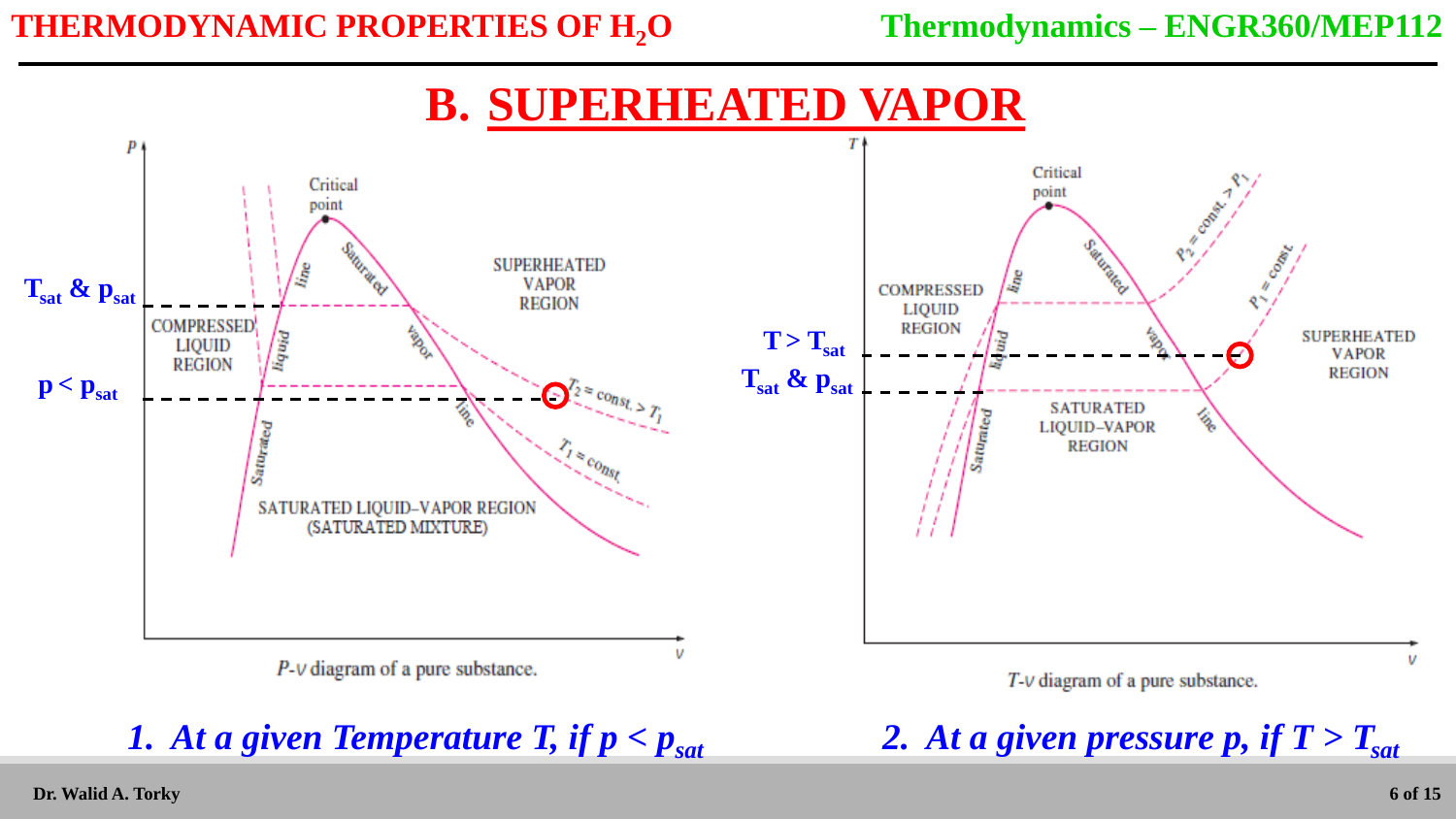### **B. SUPERHEATED VAPOR**

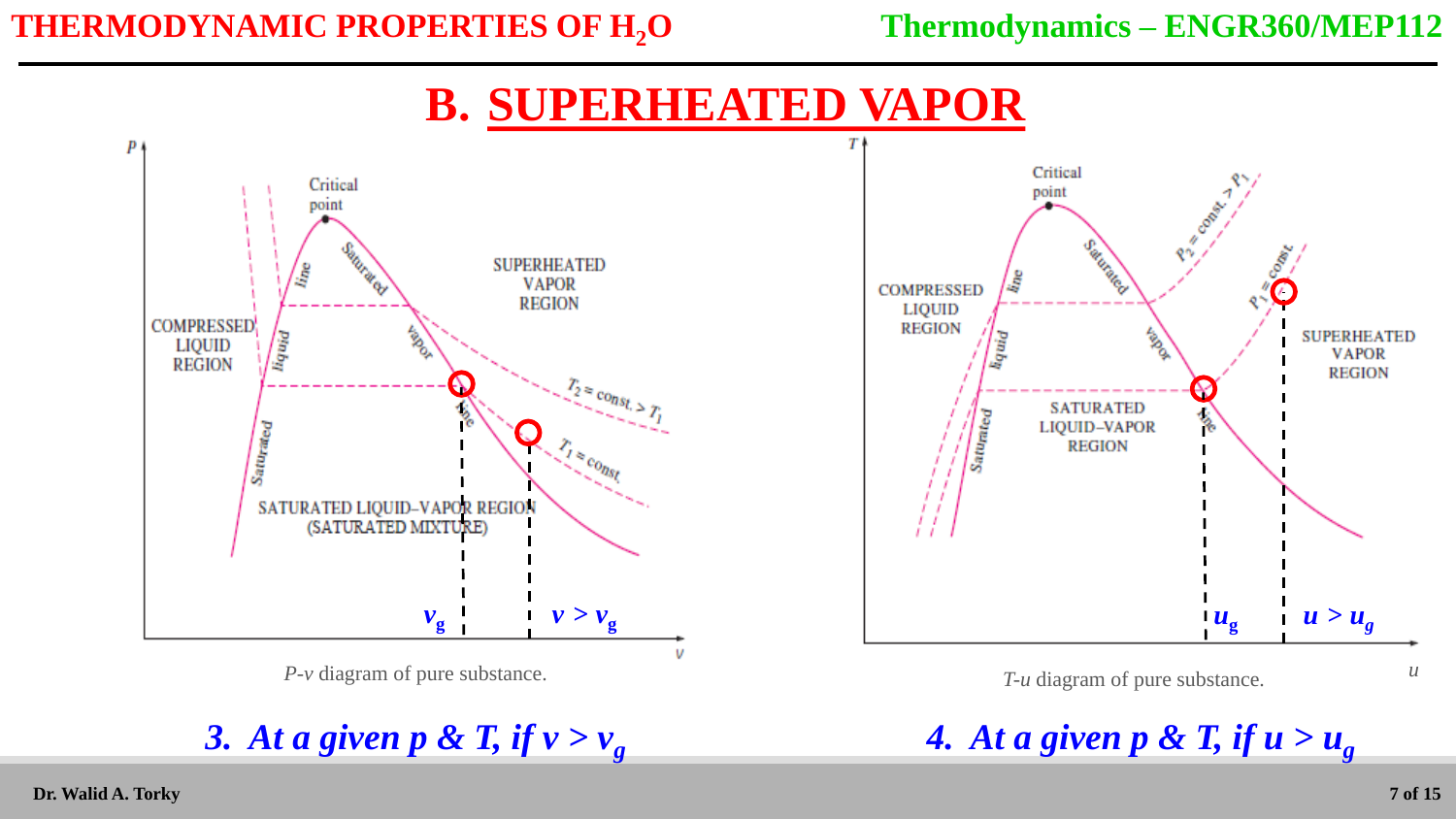### **B. SUPERHEATED VAPOR**



3. At a given p & T, if  $v > v_g$  4. At a given p & T, if  $u > u_g$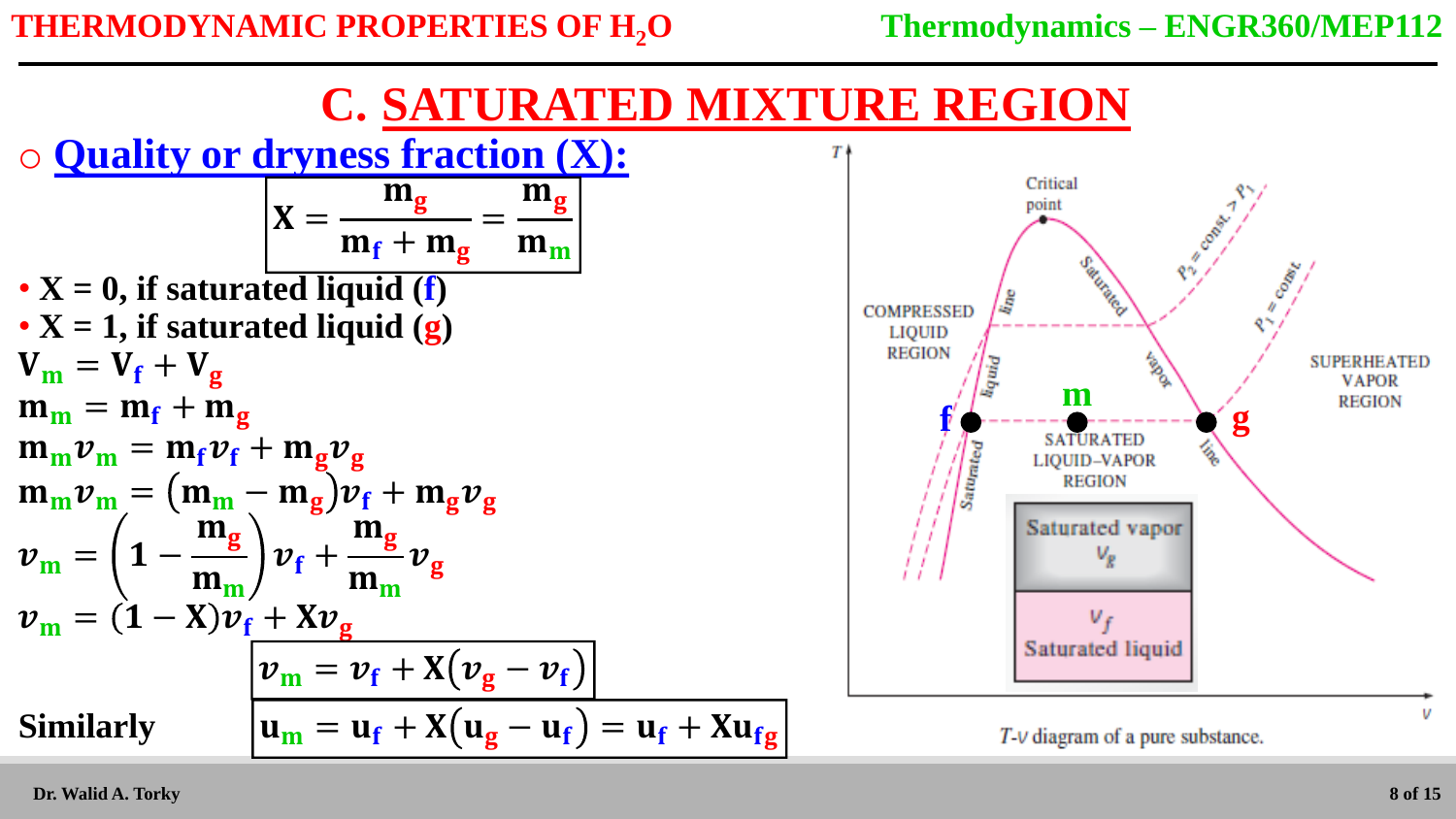



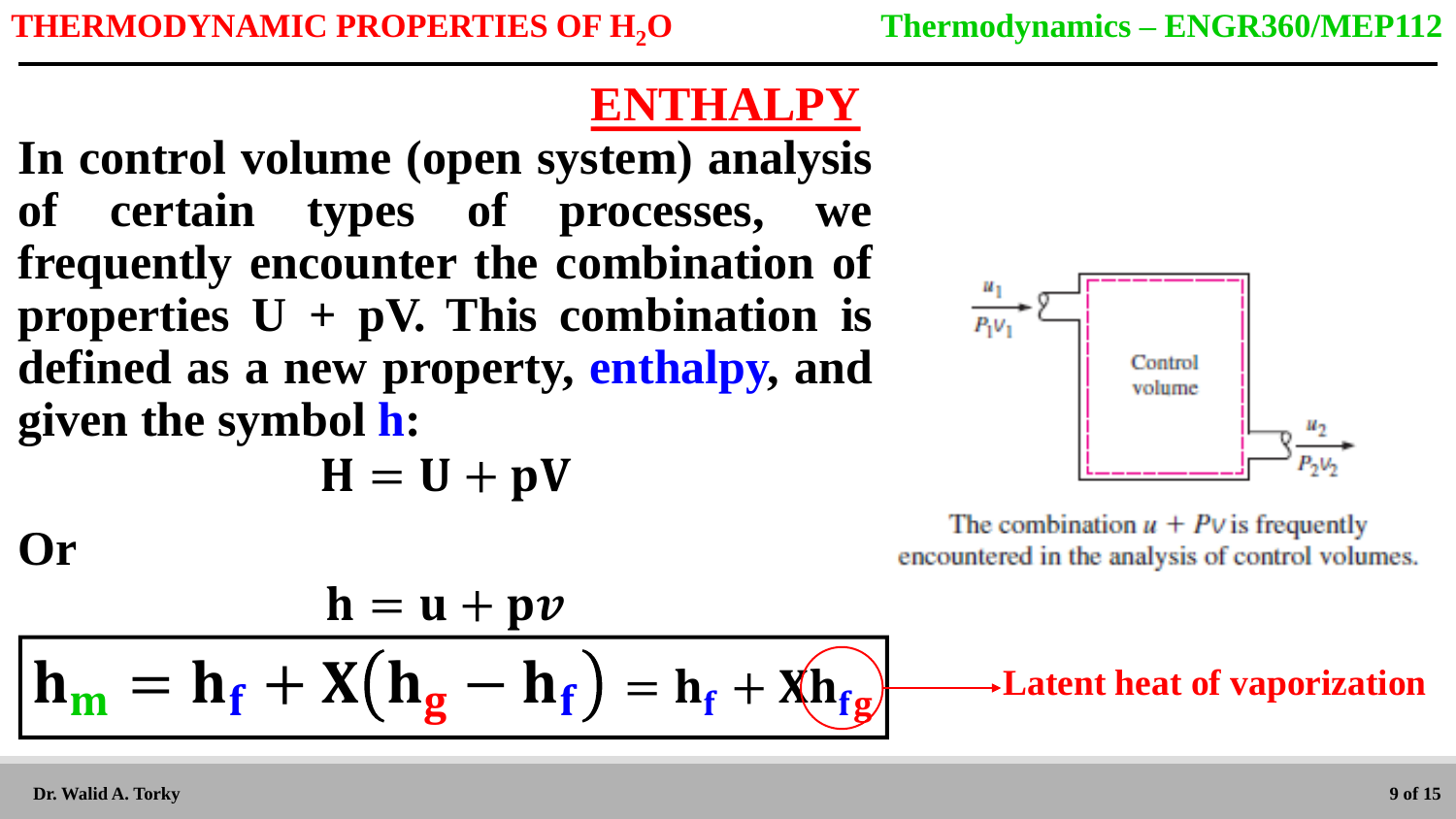# **ENTHALPY**

**In control volume (open system) analysis of certain types of processes, we frequently encounter the combination of properties**  $U + pV$ **. This combination is defined as a new property, enthalpy, and given the symbol h:**

$$
H = U + pV
$$



The combination  $u + P v$  is frequently encountered in the analysis of control volumes.

**Latent heat of vaporization**

**Or**

$$
\frac{\mathbf{h} = \mathbf{u} + \mathbf{p}\mathbf{v}}{\mathbf{h}_{\mathbf{m}} = \mathbf{h}_{\mathbf{f}} + \mathbf{X}(\mathbf{h}_{\mathbf{g}} - \mathbf{h}_{\mathbf{f}}) = \mathbf{h}_{\mathbf{f}} + \mathbf{X}(\mathbf{h}_{\mathbf{fg}})
$$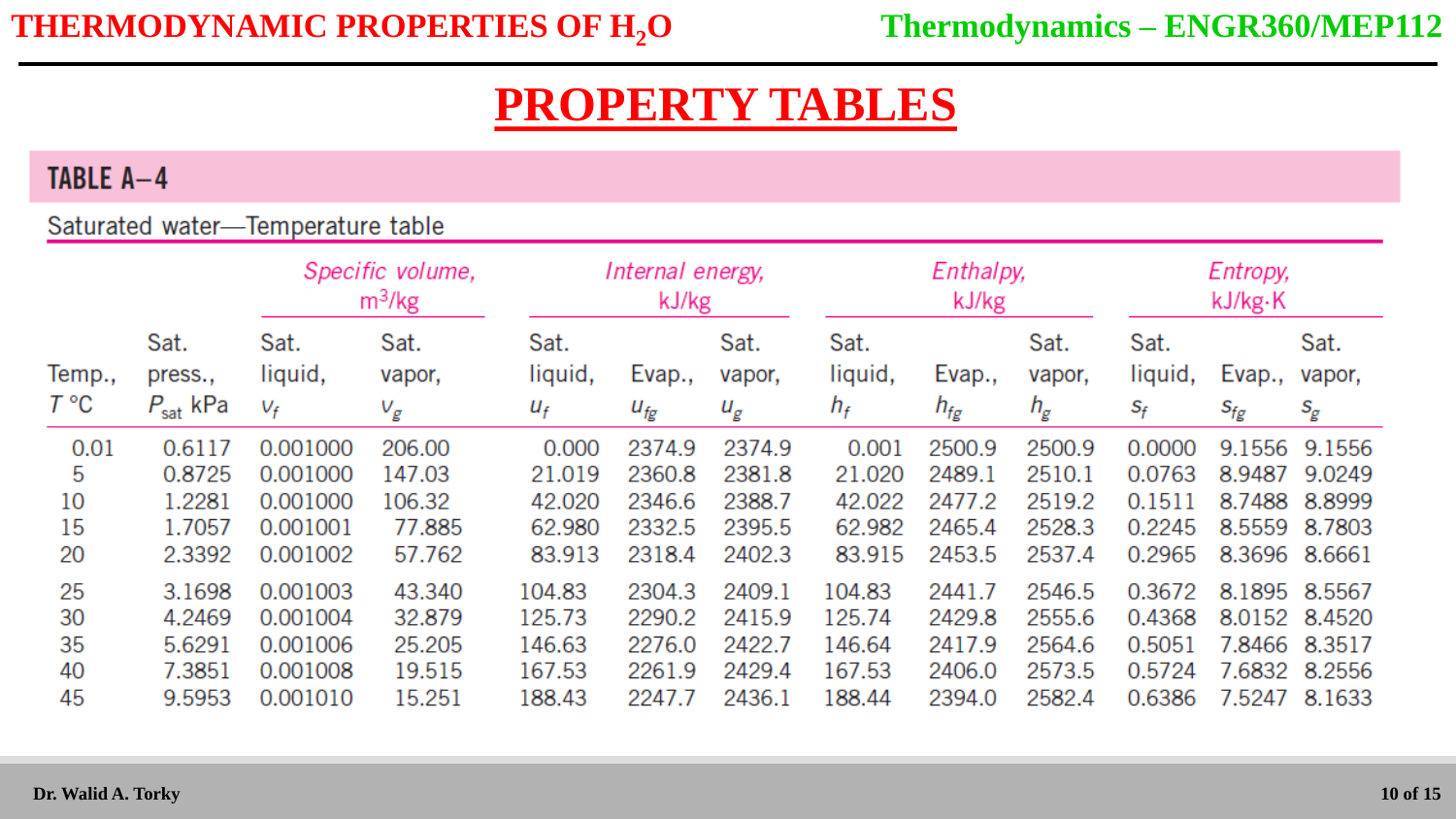#### TABLE A-4

#### Saturated water-Temperature table

|                                  |                                                          | Specific volume,<br>$m^3/kg$                                         |                                                          | Internal energy,<br>kJ/kg                                |                                                          |                                                          | Enthalpy,<br>kJ/kg                                       |                                                          |                                                          | Entropy,<br>kJ/kg·K                                      |                                                |                                                                 |
|----------------------------------|----------------------------------------------------------|----------------------------------------------------------------------|----------------------------------------------------------|----------------------------------------------------------|----------------------------------------------------------|----------------------------------------------------------|----------------------------------------------------------|----------------------------------------------------------|----------------------------------------------------------|----------------------------------------------------------|------------------------------------------------|-----------------------------------------------------------------|
| Temp.,<br>$T^{\circ}C$           | Sat.<br>press.,<br>$P_{\text{sat}}$ kPa                  | Sat.<br>liquid,<br>$V_f$                                             | Sat.<br>vapor,<br>$V_g$                                  | Sat.<br>liquid,<br>$U_f$                                 | Evap.,<br>$U_{fg}$                                       | Sat.<br>vapor,<br>$u_g$                                  | Sat.<br>liquid,<br>$h_f$                                 | Evap.,<br>$h_{fg}$                                       | Sat.<br>vapor,<br>$h_g$                                  | Sat.<br>liquid,<br>$S_f$                                 | Evap.,<br>$S_{fg}$                             | Sat.<br>vapor,<br>$S_{\hspace{-0.8pt}E}$                        |
| 0.01<br>5<br>10<br>15            | 0.6117<br>0.8725<br>1.2281<br>1.7057                     | 0.001000<br>0.001000<br>0.001000<br>0.001001                         | 206.00<br>147.03<br>106.32<br>77.885                     | 0.000<br>21.019<br>42.020<br>62.980                      | 2374.9<br>2360.8<br>2346.6<br>2332.5                     | 2374.9<br>2381.8<br>2388.7<br>2395.5                     | 0.001<br>21.020<br>42.022<br>62.982                      | 2500.9<br>2489.1<br>2477.2<br>2465.4                     | 2500.9<br>2510.1<br>2519.2<br>2528.3                     | 0.0000<br>0.0763<br>0.1511<br>0.2245                     | 9.1556<br>8.9487<br>8.7488<br>8.5559           | 9.1556<br>9.0249<br>8.8999<br>8.7803                            |
| 20<br>25<br>30<br>35<br>40<br>45 | 2.3392<br>3.1698<br>4.2469<br>5.6291<br>7.3851<br>9.5953 | 0.001002<br>0.001003<br>0.001004<br>0.001006<br>0.001008<br>0.001010 | 57.762<br>43.340<br>32.879<br>25.205<br>19.515<br>15.251 | 83.913<br>104.83<br>125.73<br>146.63<br>167.53<br>188.43 | 2318.4<br>2304.3<br>2290.2<br>2276.0<br>2261.9<br>2247.7 | 2402.3<br>2409.1<br>2415.9<br>2422.7<br>2429.4<br>2436.1 | 83.915<br>104.83<br>125.74<br>146.64<br>167.53<br>188.44 | 2453.5<br>2441.7<br>2429.8<br>2417.9<br>2406.0<br>2394.0 | 2537.4<br>2546.5<br>2555.6<br>2564.6<br>2573.5<br>2582.4 | 0.2965<br>0.3672<br>0.4368<br>0.5051<br>0.5724<br>0.6386 | 8.3696<br>8.1895<br>7.8466<br>7.6832<br>7.5247 | 8.6661<br>8.5567<br>8.0152 8.4520<br>8.3517<br>8.2556<br>8.1633 |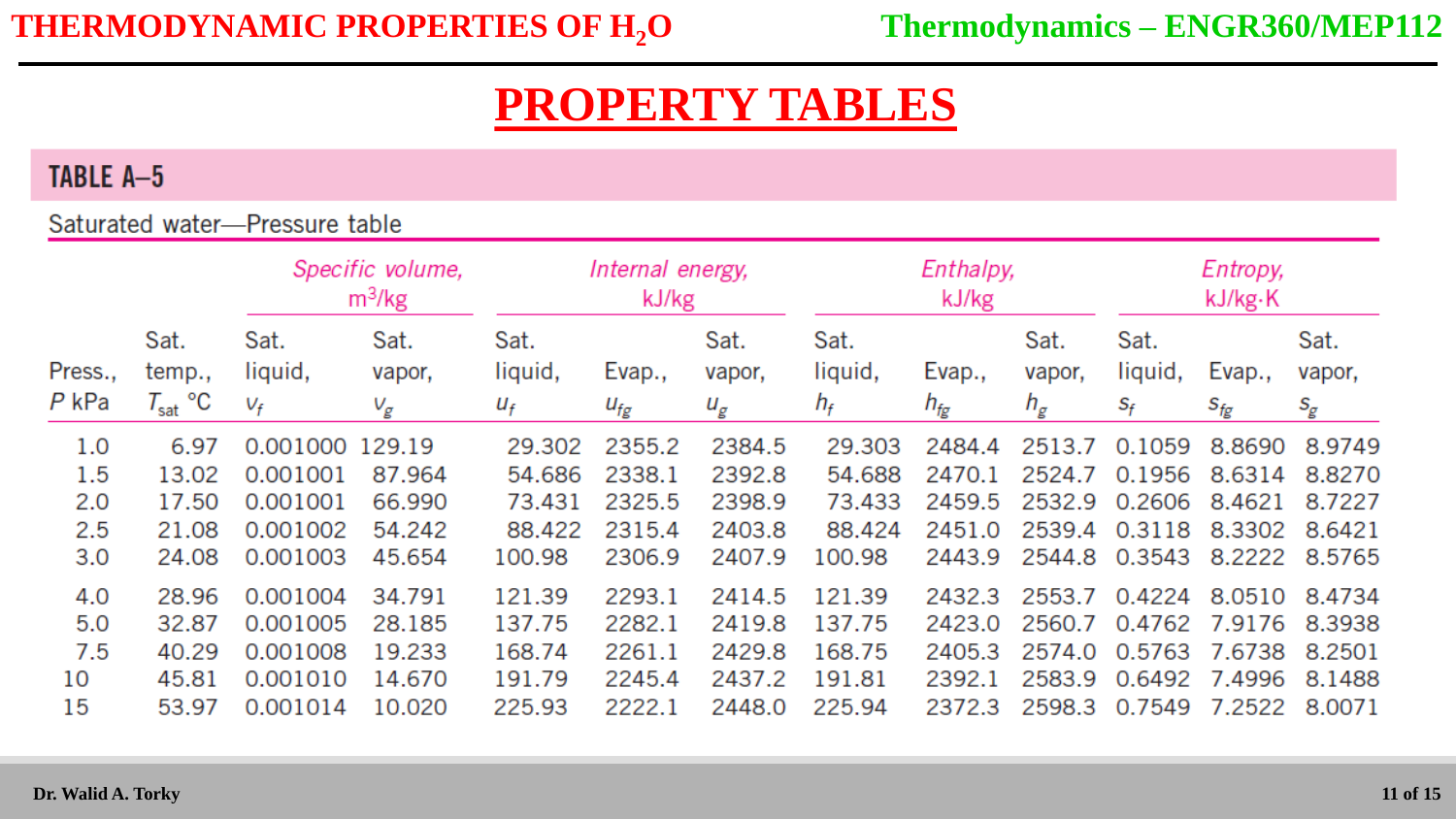#### TABLE A-5

#### Saturated water-Pressure table

|                  |                                       | Specific volume,<br>m <sup>3</sup> /kg |                         | Internal energy,<br>kJ/kg |                    |                         |                          | Enthalpy,<br>kJ/kg |                         | Entropy,<br>kJ/kg·K      |                             |                                          |
|------------------|---------------------------------------|----------------------------------------|-------------------------|---------------------------|--------------------|-------------------------|--------------------------|--------------------|-------------------------|--------------------------|-----------------------------|------------------------------------------|
| Press.,<br>P kPa | Sat.<br>temp.,<br>$T_\mathsf{sat}$ °C | Sat.<br>liquid,<br>$V_f$               | Sat.<br>vapor,<br>$V_g$ | Sat.<br>liquid,<br>$U_f$  | Evap.,<br>$u_{fg}$ | Sat.<br>vapor,<br>$u_g$ | Sat.<br>liquid,<br>$h_f$ | Evap.,<br>$h_{fg}$ | Sat.<br>vapor,<br>$h_g$ | Sat.<br>liquid,<br>$S_f$ | Evap.,<br>$s_{\mathit{fg}}$ | Sat.<br>vapor,<br>$S_{\hspace{-0.8pt}E}$ |
| 1.0              | 6.97                                  | 0.001000 129.19                        |                         | 29.302                    | 2355.2             | 2384.5                  | 29.303                   | 2484.4             | 2513.7                  | 0.1059                   | 8.8690                      | 8.9749                                   |
| 1.5              | 13.02                                 | 0.001001                               | 87.964                  | 54.686                    | 2338.1             | 2392.8                  | 54.688                   | 2470.1             | 2524.7                  | 0.1956                   | 8.6314                      | 8.8270                                   |
| 2.0              | 17.50                                 | 0.001001                               | 66.990                  | 73.431                    | 2325.5             | 2398.9                  | 73.433                   | 2459.5             | 2532.9                  | 0.2606                   | 8.4621                      | 8.7227                                   |
| 2.5              | 21.08                                 | 0.001002                               | 54.242                  | 88.422                    | 2315.4             | 2403.8                  | 88.424                   | 2451.0             | 2539.4                  | 0.3118                   | 8.3302                      | 8.6421                                   |
| 3.0              | 24.08                                 | 0.001003                               | 45.654                  | 100.98                    | 2306.9             | 2407.9                  | 100.98                   | 2443.9             | 2544.8                  | 0.3543                   | 8.2222                      | 8.5765                                   |
| 4.0              | 28.96                                 | 0.001004                               | 34.791                  | 121.39                    | 2293.1             | 2414.5                  | 121.39                   | 2432.3             | 2553.7                  | 0.4224                   | 8.0510                      | 8.4734                                   |
| 5.0              | 32.87                                 | 0.001005                               | 28.185                  | 137.75                    | 2282.1             | 2419.8                  | 137.75                   | 2423.0             | 2560.7                  |                          | 0.4762 7.9176               | 8.3938                                   |
| 7.5              | 40.29                                 | 0.001008                               | 19.233                  | 168.74                    | 2261.1             | 2429.8                  | 168.75                   | 2405.3             | 2574.0                  | 0.5763                   | 7.6738                      | 8.2501                                   |
| 10               | 45.81                                 | 0.001010                               | 14.670                  | 191.79                    | 2245.4             | 2437.2                  | 191.81                   | 2392.1             | 2583.9                  | 0.6492                   | 7.4996                      | 8.1488                                   |
| 15               | 53.97                                 | 0.001014                               | 10.020                  | 225.93                    | 2222.1             | 2448.0                  | 225.94                   | 2372.3             | 2598.3                  | 0.7549                   | 7.2522                      | 8.0071                                   |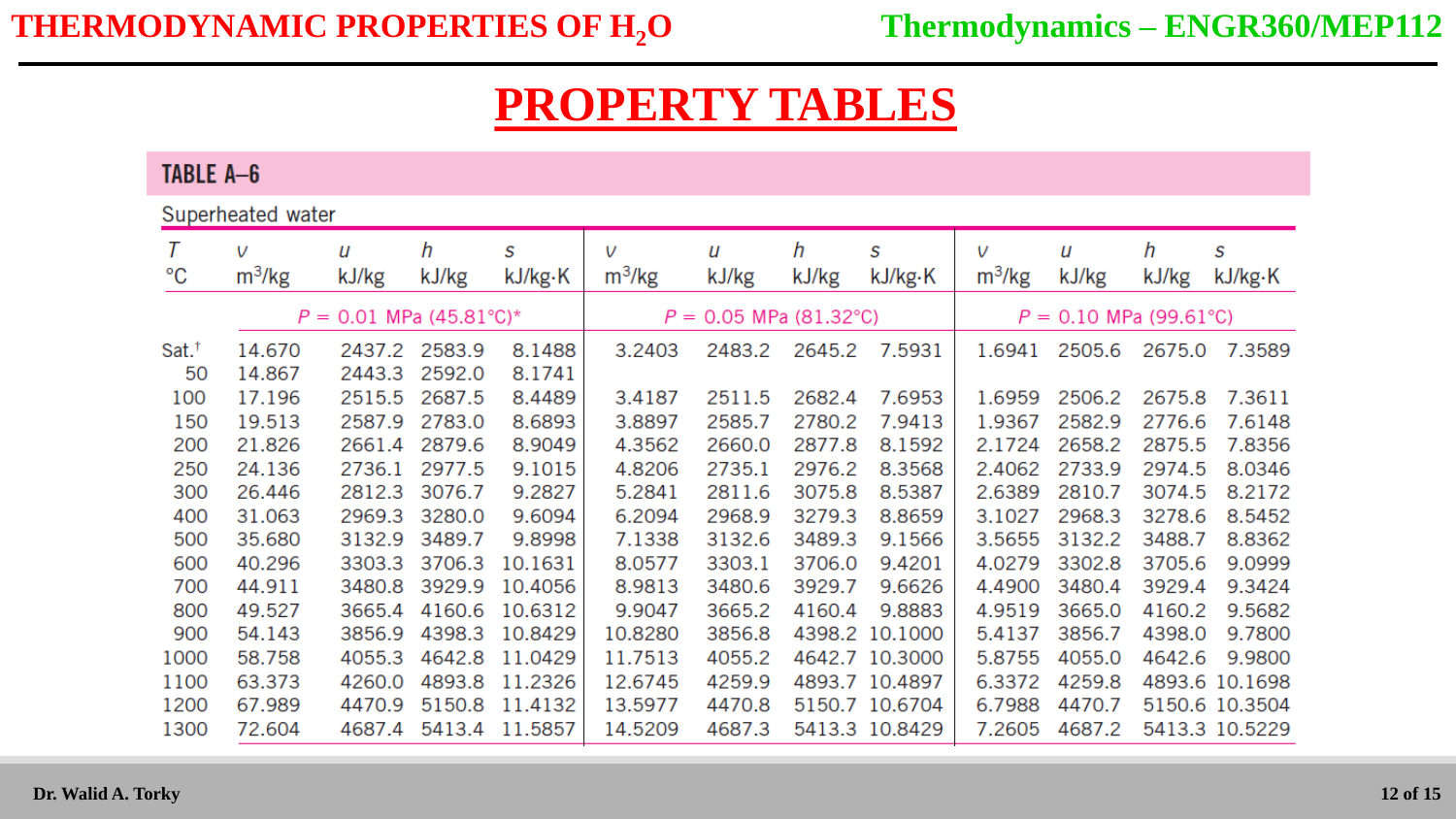TABLE A-6

Superheated water

|             | V        | U                         | h      | S       | V        | и                        | h      | S                        | V        | и      | h      | S              |
|-------------|----------|---------------------------|--------|---------|----------|--------------------------|--------|--------------------------|----------|--------|--------|----------------|
| $^{\circ}C$ | $m^3/kg$ | kJ/kg                     | kJ/kg  | kJ/kg·K | $m^3/kg$ | kJ/kg                    | kJ/kg  | kJ/kg·K                  | $m^3/kg$ | kJ/kg  | kJ/kg  | kJ/kg·K        |
|             |          | $P = 0.01$ MPa (45.81°C)* |        |         |          | $P = 0.05$ MPa (81.32°C) |        | $P = 0.10$ MPa (99.61°C) |          |        |        |                |
| $Sat.*$     | 14.670   | 2437.2                    | 2583.9 | 8.1488  | 3.2403   | 2483.2                   | 2645.2 | 7.5931                   | 1.6941   | 2505.6 | 2675.0 | 7.3589         |
| 50          | 14.867   | 2443.3                    | 2592.0 | 8.1741  |          |                          |        |                          |          |        |        |                |
| 100         | 17.196   | 2515.5                    | 2687.5 | 8.4489  | 3.4187   | 2511.5                   | 2682.4 | 7.6953                   | 1.6959   | 2506.2 | 2675.8 | 7.3611         |
| 150         | 19.513   | 2587.9                    | 2783.0 | 8.6893  | 3.8897   | 2585.7                   | 2780.2 | 7.9413                   | 1.9367   | 2582.9 | 2776.6 | 7.6148         |
| 200         | 21.826   | 2661.4                    | 2879.6 | 8.9049  | 4.3562   | 2660.0                   | 2877.8 | 8.1592                   | 2.1724   | 2658.2 | 2875.5 | 7.8356         |
| 250         | 24.136   | 2736.1                    | 2977.5 | 9.1015  | 4.8206   | 2735.1                   | 2976.2 | 8.3568                   | 2.4062   | 2733.9 | 2974.5 | 8.0346         |
| 300         | 26.446   | 2812.3                    | 3076.7 | 9.2827  | 5.2841   | 2811.6                   | 3075.8 | 8.5387                   | 2.6389   | 2810.7 | 3074.5 | 8.2172         |
| 400         | 31.063   | 2969.3                    | 3280.0 | 9.6094  | 6.2094   | 2968.9                   | 3279.3 | 8.8659                   | 3.1027   | 2968.3 | 3278.6 | 8.5452         |
| 500         | 35.680   | 3132.9                    | 3489.7 | 9.8998  | 7.1338   | 3132.6                   | 3489.3 | 9.1566                   | 3.5655   | 3132.2 | 3488.7 | 8.8362         |
| 600         | 40.296   | 3303.3                    | 3706.3 | 10.1631 | 8.0577   | 3303.1                   | 3706.0 | 9.4201                   | 4.0279   | 3302.8 | 3705.6 | 9.0999         |
| 700         | 44.911   | 3480.8                    | 3929.9 | 10.4056 | 8.9813   | 3480.6                   | 3929.7 | 9.6626                   | 4.4900   | 3480.4 | 3929.4 | 9.3424         |
| 800         | 49.527   | 3665.4                    | 4160.6 | 10.6312 | 9.9047   | 3665.2                   | 4160.4 | 9.8883                   | 4.9519   | 3665.0 | 4160.2 | 9.5682         |
| 900         | 54.143   | 3856.9                    | 4398.3 | 10.8429 | 10.8280  | 3856.8                   |        | 4398.2 10.1000           | 5.4137   | 3856.7 | 4398.0 | 9.7800         |
| 1000        | 58.758   | 4055.3                    | 4642.8 | 11.0429 | 11.7513  | 4055.2                   |        | 4642.7 10.3000           | 5.8755   | 4055.0 | 4642.6 | 9.9800         |
| 1100        | 63.373   | 4260.0                    | 4893.8 | 11.2326 | 12.6745  | 4259.9                   |        | 4893.7 10.4897           | 6.3372   | 4259.8 |        | 4893.6 10.1698 |
| 1200        | 67.989   | 4470.9                    | 5150.8 | 11.4132 | 13.5977  | 4470.8                   |        | 5150.7 10.6704           | 6.7988   | 4470.7 |        | 5150.6 10.3504 |
| 1300        | 72.604   | 4687.4                    | 5413.4 | 11.5857 | 14.5209  | 4687.3                   |        | 5413.3 10.8429           | 7.2605   | 4687.2 |        | 5413.3 10.5229 |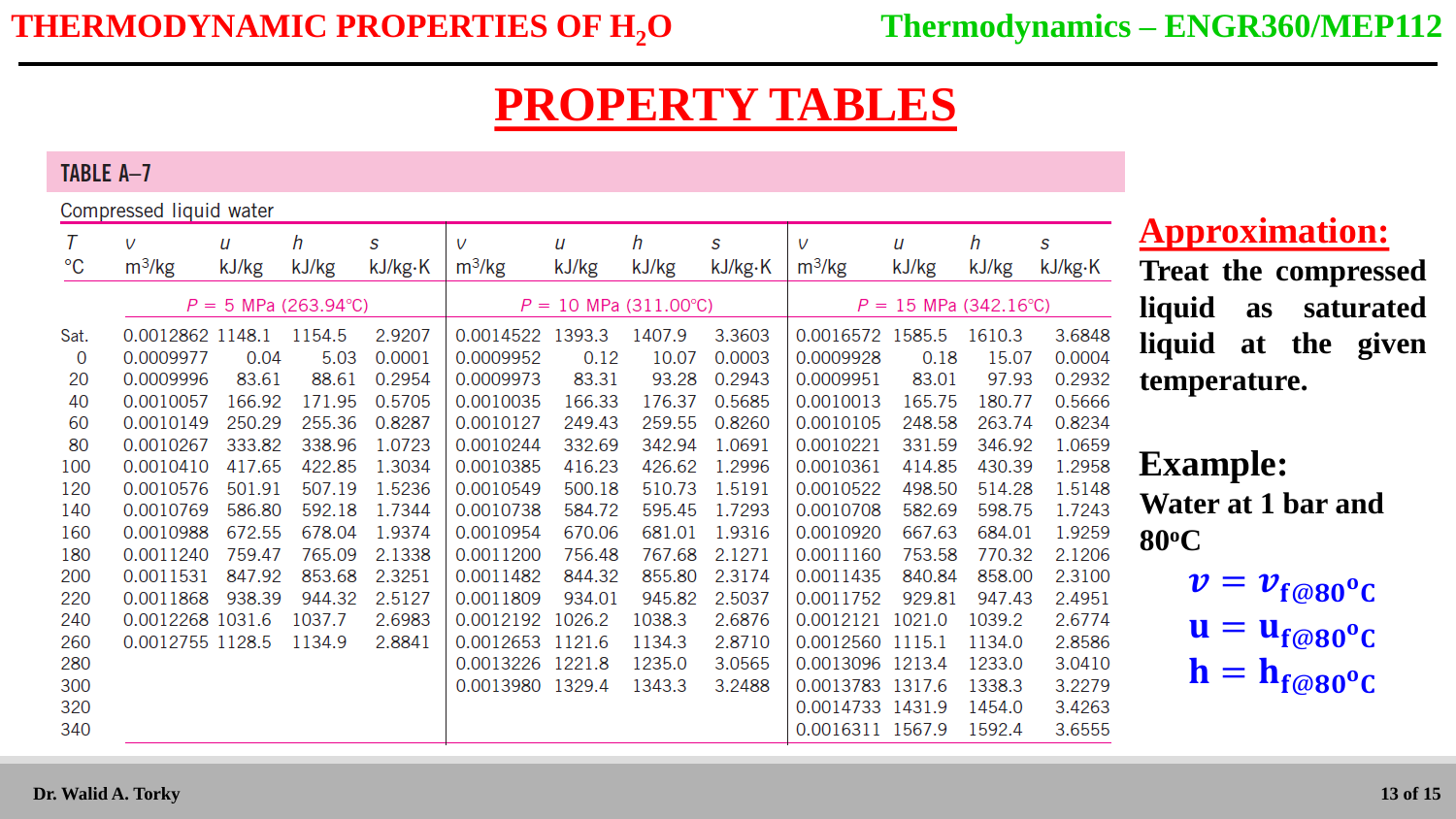#### TABLE A-7

#### Compressed liquid water

| sonnprossoa nquia mator |          |                                                                                                                                                                                                                               |                           |                                    |          |                                                                                             |        |                                    |          |                                                                                                                                                   |                                                                                      |  |
|-------------------------|----------|-------------------------------------------------------------------------------------------------------------------------------------------------------------------------------------------------------------------------------|---------------------------|------------------------------------|----------|---------------------------------------------------------------------------------------------|--------|------------------------------------|----------|---------------------------------------------------------------------------------------------------------------------------------------------------|--------------------------------------------------------------------------------------|--|
| V                       | и        | h                                                                                                                                                                                                                             | S                         | V                                  | U        | h                                                                                           | S      | V                                  | u        | h                                                                                                                                                 | S                                                                                    |  |
|                         |          |                                                                                                                                                                                                                               |                           |                                    |          |                                                                                             |        |                                    |          |                                                                                                                                                   | kJ/kg·K                                                                              |  |
|                         |          |                                                                                                                                                                                                                               |                           |                                    |          |                                                                                             |        | $P = 15$ MPa (342.16°C)            |          |                                                                                                                                                   |                                                                                      |  |
|                         |          | 1154.5                                                                                                                                                                                                                        | 2.9207                    |                                    | 1393.3   | 1407.9                                                                                      | 3.3603 |                                    |          | 1610.3                                                                                                                                            | 3.6848                                                                               |  |
|                         | 0.04     | 5.03                                                                                                                                                                                                                          | 0.0001                    | 0.0009952                          | 0.12     | 10.07                                                                                       | 0.0003 | 0.0009928                          | 0.18     | 15.07                                                                                                                                             | 0.0004                                                                               |  |
|                         | 83.61    | 88.61                                                                                                                                                                                                                         | 0.2954                    | 0.0009973                          | 83.31    | 93.28                                                                                       | 0.2943 | 0.0009951                          | 83.01    |                                                                                                                                                   | 0.2932                                                                               |  |
|                         | 166.92   | 171.95                                                                                                                                                                                                                        | 0.5705                    | 0.0010035                          | 166.33   | 176.37                                                                                      | 0.5685 | 0.0010013                          | 165.75   | 180.77                                                                                                                                            | 0.5666                                                                               |  |
|                         | 250.29   | 255.36                                                                                                                                                                                                                        | 0.8287                    | 0.0010127                          | 249.43   | 259.55                                                                                      | 0.8260 | 0.0010105                          | 248.58   |                                                                                                                                                   | 0.8234                                                                               |  |
|                         |          | 338.96                                                                                                                                                                                                                        | 1.0723                    | 0.0010244                          | 332.69   | 342.94                                                                                      | 1.0691 | 0.0010221                          | 331.59   |                                                                                                                                                   | 1.0659                                                                               |  |
|                         | 417.65   | 422.85                                                                                                                                                                                                                        | 1.3034                    | 0.0010385                          | 416.23   | 426.62                                                                                      | 1.2996 | 0.0010361                          | 414.85   |                                                                                                                                                   | 1.2958                                                                               |  |
|                         | 501.91   | 507.19                                                                                                                                                                                                                        | 1.5236                    | 0.0010549                          | 500.18   | 510.73                                                                                      | 1.5191 | 0.0010522                          | 498.50   |                                                                                                                                                   | 1.5148                                                                               |  |
|                         | 586.80   | 592.18                                                                                                                                                                                                                        | 1.7344                    | 0.0010738                          | 584.72   | 595.45                                                                                      | 1.7293 | 0.0010708                          | 582.69   |                                                                                                                                                   | 1.7243                                                                               |  |
|                         | 672.55   | 678.04                                                                                                                                                                                                                        | 1.9374                    | 0.0010954                          | 670.06   | 681.01                                                                                      | 1.9316 | 0.0010920                          | 667.63   | 684.01                                                                                                                                            | 1.9259                                                                               |  |
|                         | 759.47   | 765.09                                                                                                                                                                                                                        | 2.1338                    | 0.0011200                          | 756.48   | 767.68                                                                                      | 2.1271 | 0.0011160                          | 753.58   |                                                                                                                                                   | 2.1206                                                                               |  |
|                         |          | 853.68                                                                                                                                                                                                                        | 2.3251                    | 0.0011482                          | 844.32   | 855.80                                                                                      | 2.3174 | 0.0011435                          | 840.84   |                                                                                                                                                   | 2.3100                                                                               |  |
|                         | 938.39   | 944.32                                                                                                                                                                                                                        | 2.5127                    | 0.0011809                          | 934.01   | 945.82                                                                                      | 2.5037 | 0.0011752                          | 929.81   | 947.43                                                                                                                                            | 2.4951                                                                               |  |
|                         |          | 1037.7                                                                                                                                                                                                                        | 2.6983                    |                                    |          | 1038.3                                                                                      | 2.6876 |                                    |          | 1039.2                                                                                                                                            | 2.6774                                                                               |  |
|                         |          | 1134.9                                                                                                                                                                                                                        | 2.8841                    |                                    | 1121.6   | 1134.3                                                                                      | 2.8710 |                                    |          | 1134.0                                                                                                                                            | 2.8586                                                                               |  |
|                         |          |                                                                                                                                                                                                                               |                           |                                    |          | 1235.0                                                                                      | 3.0565 |                                    |          | 1233.0                                                                                                                                            | 3.0410                                                                               |  |
|                         |          |                                                                                                                                                                                                                               |                           |                                    |          | 1343.3                                                                                      | 3.2488 |                                    |          | 1338.3                                                                                                                                            | 3.2279                                                                               |  |
|                         |          |                                                                                                                                                                                                                               |                           |                                    |          |                                                                                             |        |                                    |          | 1454.0                                                                                                                                            | 3.4263                                                                               |  |
|                         |          |                                                                                                                                                                                                                               |                           |                                    |          |                                                                                             |        |                                    |          | 1592.4                                                                                                                                            | 3.6555                                                                               |  |
|                         | $m^3/kg$ | kJ/kg<br>0.0012862 1148.1<br>0.0009977<br>0.0009996<br>0.0010057<br>0.0010149<br>0.0010267<br>0.0010410<br>0.0010576<br>0.0010769<br>0.0010988<br>0.0011240<br>0.0011531<br>0.0011868<br>0.0012268 1031.6<br>0.0012755 1128.5 | kJ/kg<br>333.82<br>847.92 | kJ/kg·K<br>$P = 5$ MPa (263.94 °C) | $m^3/kg$ | kJ/kg<br>0.0014522<br>0.0012192 1026.2<br>0.0012653<br>0.0013226 1221.8<br>0.0013980 1329.4 | kJ/kg  | kJ/kg·K<br>$P = 10$ MPa (311.00°C) | $m^3/kg$ | kJ/kg<br>0.0016572 1585.5<br>0.0012121 1021.0<br>0.0012560 1115.1<br>0.0013096 1213.4<br>0.0013783 1317.6<br>0.0014733 1431.9<br>0.0016311 1567.9 | kJ/kg<br>97.93<br>263.74<br>346.92<br>430.39<br>514.28<br>598.75<br>770.32<br>858.00 |  |

#### **Approximation:**

**Treat the compressed liquid as saturated liquid at the given temperature.**

#### **Example: Water at 1 bar and 80<sup>o</sup>C**

- $v = v_{f@80}^{\circ}$ c
- $\mathbf{u} = \mathbf{u}_{\mathbf{f}\textcircled{e}80}^{\mathrm{o}}\mathbf{c}$
- $\mathbf{h} = \mathbf{h}_{\mathbf{f}\textcircled{e}80}$ °C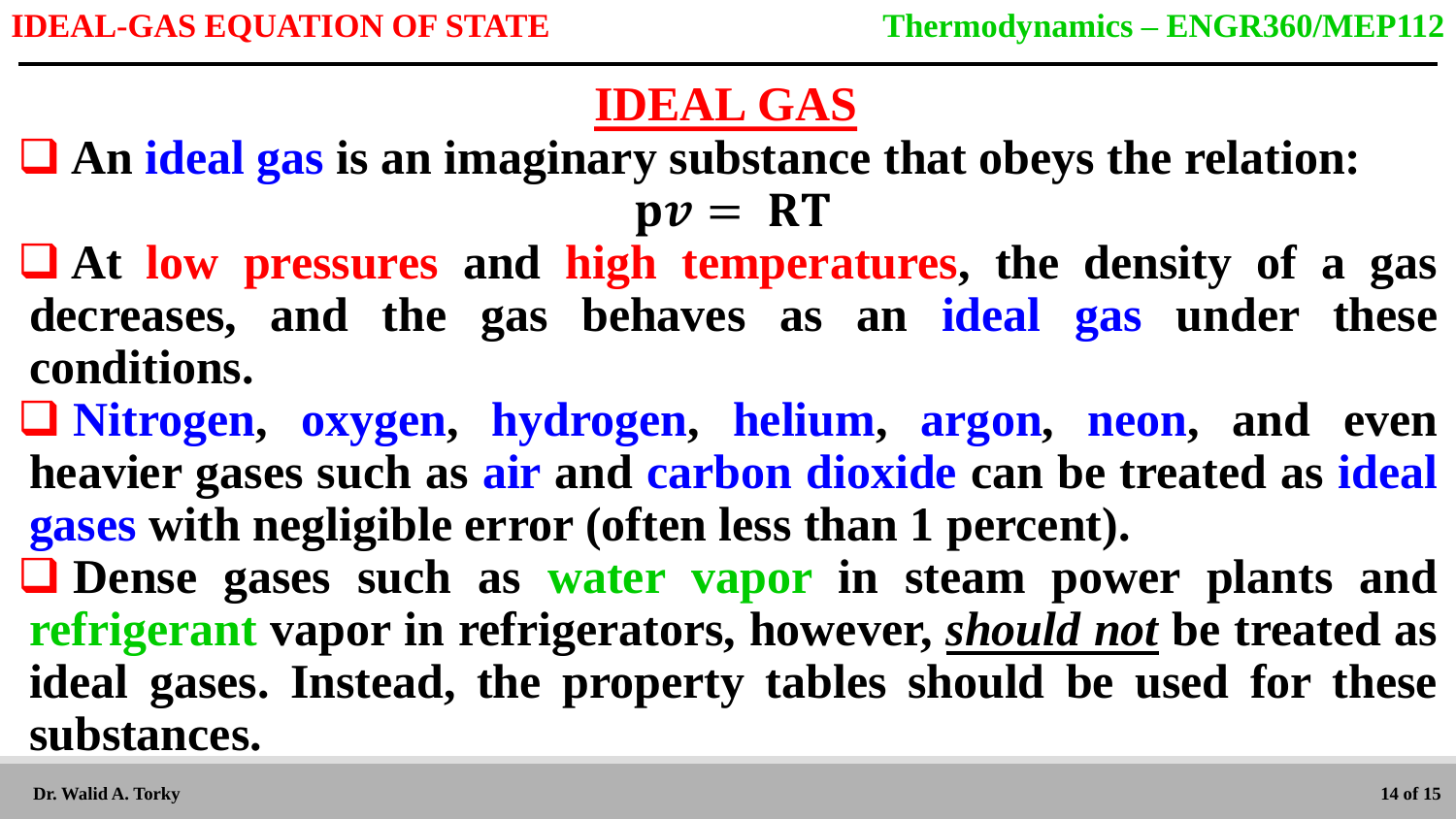# **IDEAL GAS**

 **An ideal gas is an imaginary substance that obeys the relation:**  $pv = RT$ 

 **At low pressures and high temperatures, the density of a gas decreases, and the gas behaves as an ideal gas under these conditions.** 

 **Nitrogen, oxygen, hydrogen, helium, argon, neon, and even heavier gases such as air and carbon dioxide can be treated as ideal gases with negligible error (often less than 1 percent).**

 **Dense gases such as water vapor in steam power plants and refrigerant vapor in refrigerators, however,** *should not* **be treated as ideal gases. Instead, the property tables should be used for these substances.**